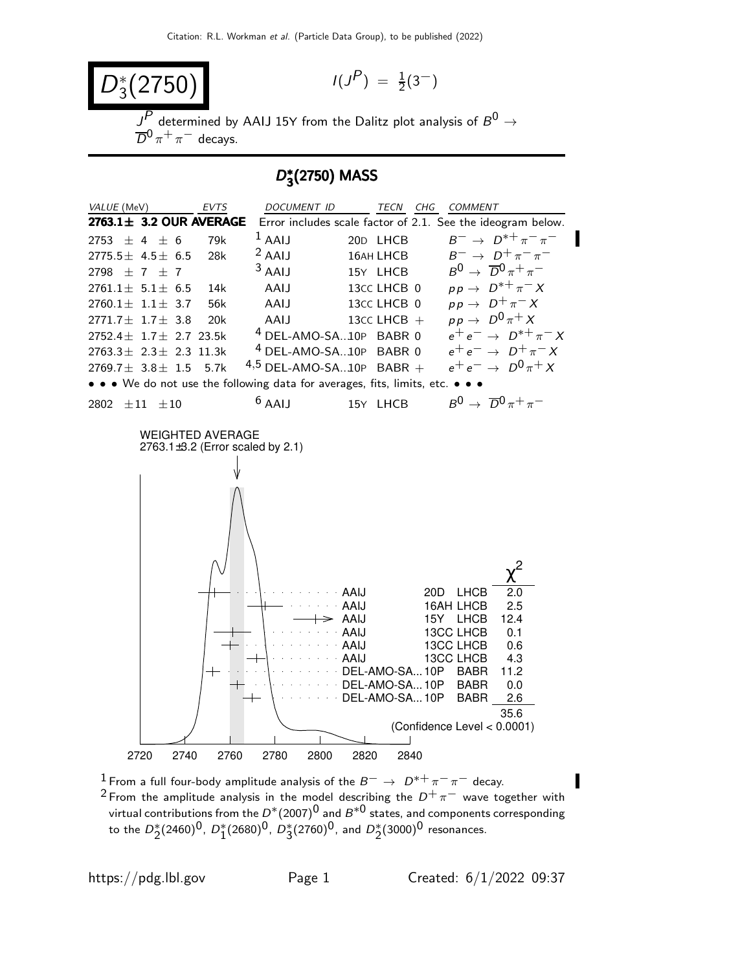$$
D_3^*(2750)
$$

$$
I(J^P) \ = \ \frac{1}{2}(3^-)
$$

 $\overline{J^P}$  determined by AAIJ 15Y from the Dalitz plot analysis of  $\overline{B^0} \rightarrow$  $\overline{D}^0 \pi^+ \pi^-$  decays.

# D<sup>∗</sup> 3 (2750) MASS



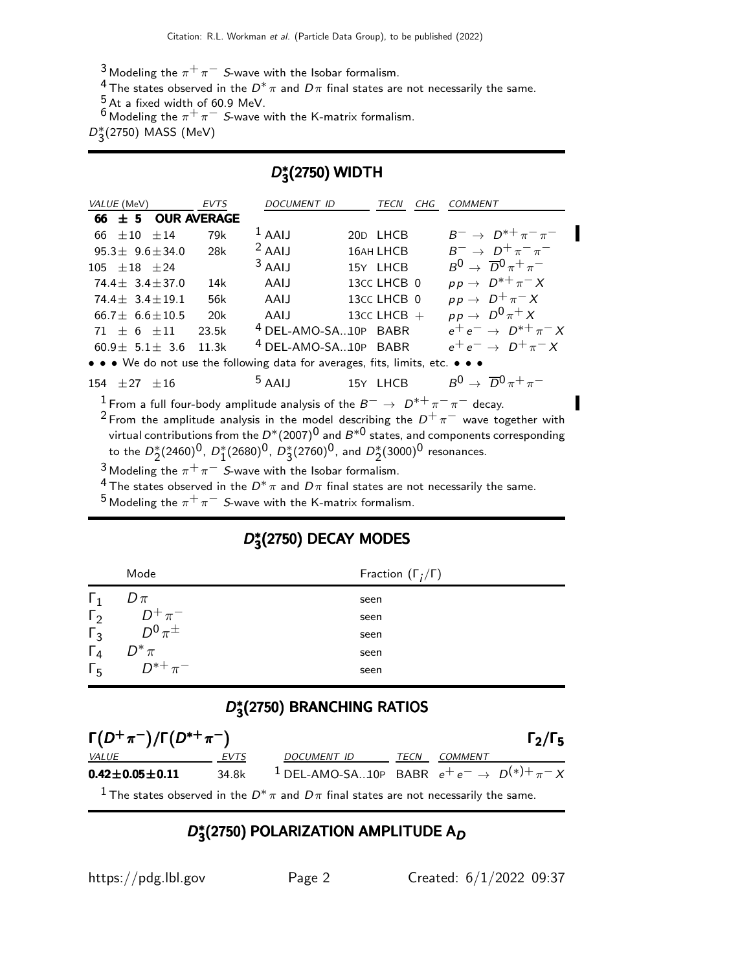3 Modeling the  $\pi^+\pi^-$  S-wave with the Isobar formalism.

<sup>4</sup> The states observed in the  $D^*\pi$  and  $D\pi$  final states are not necessarily the same.

 $\frac{5}{6}$  At a fixed width of 60.9 MeV.

6 Modeling the  $\pi^+ \pi^-$  S-wave with the K-matrix formalism.

 $D_{3}^{*}(2750)$  MASS (MeV)

# D<sup>∗</sup>  $\frac{2}{3}(2750)$  WIDTH

| VALUE (MeV)                                                                                              | <b>EVTS</b> | DOCUMENT ID                     | TECN<br>CHG      | <b>COMMENT</b>                                 |  |
|----------------------------------------------------------------------------------------------------------|-------------|---------------------------------|------------------|------------------------------------------------|--|
| 66 $\pm$ 5 OUR AVERAGE                                                                                   |             |                                 |                  |                                                |  |
| $\pm 10$ $\pm 14$<br>66                                                                                  | 79k         | $1$ AAIJ                        | 20D LHCB         | $B^{-} \to D^{*+} \pi^- \pi^-$                 |  |
| $95.3 + 9.6 + 34.0$                                                                                      | 28k         | $2$ AAIJ                        | 16AH LHCB        | $B^ \rightarrow$ $D^+\pi^-\pi^-$               |  |
| $105 + 18 + 24$                                                                                          |             | $3$ AAIJ                        | 15Y LHCB         | $B^0 \rightarrow \overline{D}{}^0 \pi^+ \pi^-$ |  |
| $74.4 + 3.4 + 37.0$                                                                                      | 14k         | AAIJ                            | 13CC LHCB 0      | $pp \rightarrow D^{*+} \pi^- X$                |  |
| $74.4 + 3.4 + 19.1$                                                                                      | 56k         | AAIJ                            | 13CC LHCB 0      | $pp \rightarrow D^+\pi^- X$                    |  |
| $66.7 + 6.6 + 10.5$                                                                                      | 20k         | AAIJ                            | 13 $cc$ LHCB $+$ | $pp \rightarrow D^0 \pi^+ X$                   |  |
| $71 + 6 + 11$                                                                                            | 23.5k       | <sup>4</sup> DEL-AMO-SA10P BABR |                  | $e^+e^- \rightarrow D^{*+}\pi^-X$              |  |
| $60.9 \pm 5.1 \pm 3.6$                                                                                   | 11.3k       | <sup>4</sup> DEL-AMO-SA10P BABR |                  | $e^+e^- \rightarrow D^+\pi^-X$                 |  |
| • • • We do not use the following data for averages, fits, limits, etc. • • •                            |             |                                 |                  |                                                |  |
| $154 \pm 27 \pm 16$                                                                                      |             | $5$ AAIJ                        | 15Y LHCB         | $B^0 \rightarrow \overline{D}^0 \pi^+ \pi^-$   |  |
| <sup>1</sup> From a full four-body amplitude analysis of the $B^- \to D^{*+} \pi^- \pi^-$ decay.         |             |                                 |                  |                                                |  |
| <sup>2</sup> From the amplitude analysis in the model describing the $D^+\pi^-$ wave together with       |             |                                 |                  |                                                |  |
| virtual contributions from the $D^*(2007)^0$ and $B^{*0}$ states, and components corresponding           |             |                                 |                  |                                                |  |
| to the $D_2^*(2460)^0$ , $D_1^*(2680)^0$ , $D_3^*(2760)^0$ , and $D_2^*(3000)^0$ resonances.             |             |                                 |                  |                                                |  |
| <sup>3</sup> Modeling the $\pi^+\pi^-$ S-wave with the Isobar formalism.                                 |             |                                 |                  |                                                |  |
| <sup>4</sup> The states observed in the $D^* \pi$ and $D \pi$ final states are not necessarily the same. |             |                                 |                  |                                                |  |

 $^5$  Modeling the  $\pi^+\pi^-$  *S*-wave with the K-matrix formalism.

# D<sup>∗</sup>  $^\ast_3$ (2750) DECAY MODES

|                             | Mode                       | Fraction $(\Gamma_i/\Gamma)$ |
|-----------------------------|----------------------------|------------------------------|
| $\perp$ 1                   | $D \pi$                    | seen                         |
| $\Gamma_2$                  | $D^+\pi^-$<br>$D^0\pi^\pm$ | seen                         |
| $\Gamma_3$                  |                            | seen                         |
| $\frac{\Gamma_4}{\Gamma_5}$ | $D^*\pi$<br>$D^{*+}\pi^-$  | seen                         |
|                             |                            | seen                         |

# D<sup>∗</sup> 3 (2750) BRANCHING RATIOS

| $\Gamma(D^+\pi^-)/\Gamma(D^{*+}\pi^-)$ |             |                                                                                                        |      |         | $\Gamma_2/\Gamma_5$ |
|----------------------------------------|-------------|--------------------------------------------------------------------------------------------------------|------|---------|---------------------|
| <i>VALUE</i>                           | <i>EVTS</i> | DOCUMENT ID                                                                                            | TECN | COMMENT |                     |
| $0.42 \pm 0.05 \pm 0.11$               | 34.8k       | <sup>1</sup> DEL-AMO-SA10P BABR $e^+e^- \rightarrow D^{(*)+}\pi^- X$                                   |      |         |                     |
|                                        |             | <sup>1</sup> The states observed in the $D^*\pi$ and $D\pi$ final states are not necessarily the same. |      |         |                     |

# D<sup>∗</sup>  $_3^\ast$ (2750) POLARIZATION AMPLITUDE A $_D$